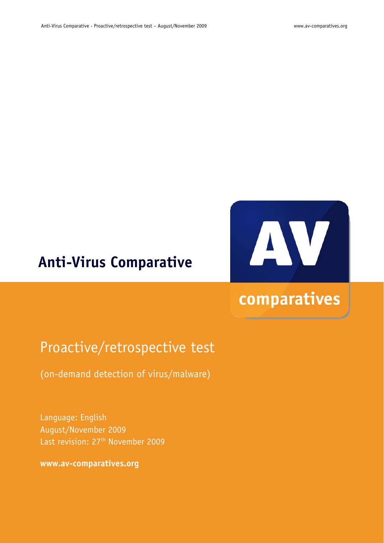## **Anti-Virus Comparative**



# comparatives

## Proactive/retrospective test

(on-demand detection of virus/malware)

Language: English August/November 2009 Last revision: 27<sup>th</sup> November 2009

**www.av-comparatives.org**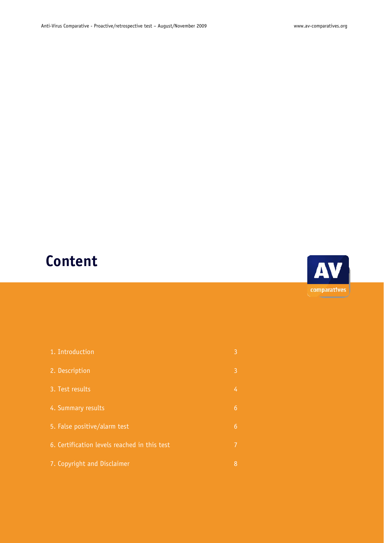# **Content**



| 1. Introduction                              | 3 |
|----------------------------------------------|---|
| 2. Description                               | 3 |
| 3. Test results                              | 4 |
| 4. Summary results                           | 6 |
| 5. False positive/alarm test                 | 6 |
| 6. Certification levels reached in this test | 7 |
| 7. Copyright and Disclaimer                  | 8 |
|                                              |   |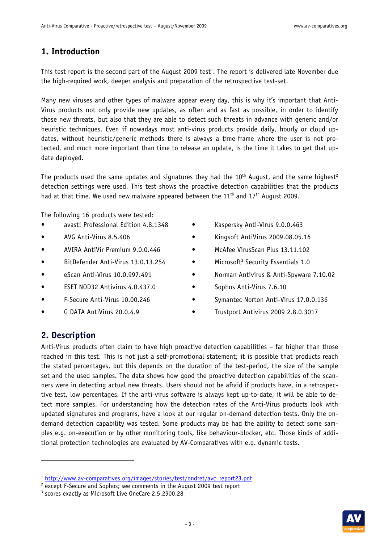### **1. Introduction**

This test report is the second part of the August 2009 test<sup>1</sup>. The report is delivered late November due the high-required work, deeper analysis and preparation of the retrospective test-set.

Many new viruses and other types of malware appear every day, this is why it's important that Anti-Virus products not only provide new updates, as often and as fast as possible, in order to identify those new threats, but also that they are able to detect such threats in advance with generic and/or heuristic techniques. Even if nowadays most anti-virus products provide daily, hourly or cloud updates, without heuristic/generic methods there is always a time-frame where the user is not protected, and much more important than time to release an update, is the time it takes to get that update deployed.

The products used the same updates and signatures they had the  $10<sup>th</sup>$  August, and the same highest<sup>2</sup> detection settings were used. This test shows the proactive detection capabilities that the products had at that time. We used new malware appeared between the  $11<sup>th</sup>$  and  $17<sup>th</sup>$  August 2009.

The following 16 products were tested:

- avast! Professional Edition 4.8.1348
- AVG Anti-Virus 8.5.406
- AVIRA AntiVir Premium 9.0.0.446
- BitDefender Anti-Virus 13.0.13.254
- eScan Anti-Virus 10.0.997.491
- ESET NOD32 Antivirus 4.0.437.0
- F-Secure Anti-Virus 10.00.246
- G DATA AntiVirus 20.0.4.9
- Kaspersky Anti-Virus 9.0.0.463
- Kingsoft AntiVirus 2009.08.05.16
- McAfee VirusScan Plus 13.11.102
- Microsoft<sup>3</sup> Security Essentials 1.0
- Norman Antivirus & Anti-Spyware 7.10.02
- Sophos Anti-Virus 7.6.10
- Symantec Norton Anti-Virus 17.0.0.136
- Trustport Antivirus 2009 2.8.0.3017

### **2. Description**

-

Anti-Virus products often claim to have high proactive detection capabilities – far higher than those reached in this test. This is not just a self-promotional statement; it is possible that products reach the stated percentages, but this depends on the duration of the test-period, the size of the sample set and the used samples. The data shows how good the proactive detection capabilities of the scanners were in detecting actual new threats. Users should not be afraid if products have, in a retrospective test, low percentages. If the anti-virus software is always kept up-to-date, it will be able to detect more samples. For understanding how the detection rates of the Anti-Virus products look with updated signatures and programs, have a look at our regular on-demand detection tests. Only the ondemand detection capability was tested. Some products may be had the ability to detect some samples e.g. on-execution or by other monitoring tools, like behaviour-blocker, etc. Those kinds of additional protection technologies are evaluated by AV-Comparatives with e.g. dynamic tests.



<sup>&</sup>lt;sup>1</sup> http://www.av-comparatives.org/images/stories/test/ondret/avc\_report23.pdf

 $2$  except F-Secure and Sophos; see comments in the August 2009 test report

<sup>&</sup>lt;sup>3</sup> scores exactly as Microsoft Live OneCare 2.5.2900.28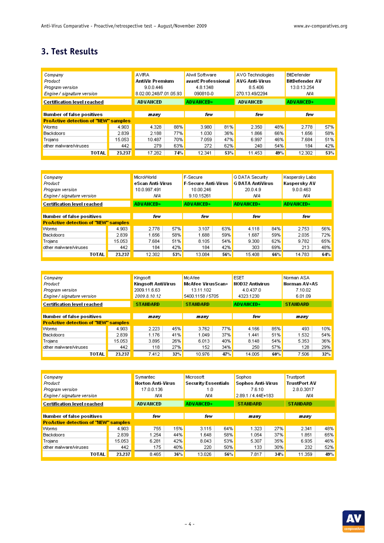## **3. Test Results**

| Company<br>Product<br>Program version<br>Engine / signature version |        | <b>AVIRA</b><br>AntiVir Premium<br>9.0.0.446<br>8.02.00.248/7.01.05.93 |     | Alwil Software<br>avast! Professional<br>4.8.1348<br>090810-0 |     | AVG Technologies<br><b>AVG Anti-Virus</b><br>8.5.406<br>270.13.49/2294 |     | <b>BitDefender</b><br>BitDefender AV<br>13.0.13.254<br>NΑ |     |
|---------------------------------------------------------------------|--------|------------------------------------------------------------------------|-----|---------------------------------------------------------------|-----|------------------------------------------------------------------------|-----|-----------------------------------------------------------|-----|
| <b>Certification level reached</b>                                  |        | <b>ADVANCED</b>                                                        |     | <b>ADVANCED+</b>                                              |     | <b>ADVANCED</b>                                                        |     | <b>ADVANCED+</b>                                          |     |
|                                                                     |        |                                                                        |     |                                                               |     |                                                                        |     |                                                           |     |
| <b>Number of false positives</b>                                    |        | many                                                                   |     | few                                                           |     | few                                                                    |     | few                                                       |     |
| <b>ProActive detection of "NEW" samples</b>                         |        |                                                                        |     |                                                               |     |                                                                        |     |                                                           |     |
| Worms                                                               | 4.903  | 4.328                                                                  | 88% | 3.980                                                         | 81% | 2.350                                                                  | 48% | 2.778                                                     | 57% |
| <b>Backdoors</b>                                                    | 2.839  | 2.188                                                                  | 77% | 1.030                                                         | 36% | 1.866                                                                  | 66% | 1.656                                                     | 58% |
| Trojans                                                             | 15.053 | 10.487                                                                 | 70% | 7.059                                                         | 47% | 6.997                                                                  | 46% | 7.684                                                     | 51% |
| other malware/viruses                                               | 442    | 279                                                                    | 63% | 272                                                           | 62% | 240                                                                    | 54% | 184                                                       | 42% |
| TOTAL                                                               | 23,237 | 17.282                                                                 | 74% | 12.341                                                        | 53% | 11.453                                                                 | 49% | 12.302                                                    | 53% |

| Company<br>Product<br>Program version<br>Engine / signature version |        | MicroWorld<br>eScan Anti-Virus<br>10.0.997.491<br>N/A |     | F-Secure<br><b>F-Secure Anti-Virus</b><br>10.00.246<br>9.10.15261 |     | G DATA Security<br><b>G DATA AntiVirus</b><br>20.0.4.9<br>ΝA |     | Kaspersky Labs<br>Kaspersky AV<br>9.0.0.463<br>ΝA |     |
|---------------------------------------------------------------------|--------|-------------------------------------------------------|-----|-------------------------------------------------------------------|-----|--------------------------------------------------------------|-----|---------------------------------------------------|-----|
| <b>Certification level reached</b>                                  |        | <b>ADVANCED+</b>                                      |     | <b>ADVANCED+</b>                                                  |     | <b>ADVANCED+</b>                                             |     | <b>ADVANCED+</b>                                  |     |
| Number of false positives                                           |        | few                                                   |     | few                                                               |     | few                                                          |     | fe w                                              |     |
| <b>ProActive detection of "NEW" samples</b>                         |        |                                                       |     |                                                                   |     |                                                              |     |                                                   |     |
| Worms                                                               | 4.903  | 2.778                                                 | 57% | 3.107                                                             | 63% | 4.118                                                        | 84% | 2.753                                             | 56% |
| Backdoors                                                           | 2.839  | 1.656                                                 | 58% | 1.688                                                             | 59% | 1.687                                                        | 59% | 2.035                                             | 72% |
| Trojans                                                             | 15.053 | 7.684                                                 | 51% | 8.105                                                             | 54% | 9.300                                                        | 62% | 9.782                                             | 65% |
| other malware/viruses                                               | 442    | 184                                                   | 42% | 184                                                               | 42% | 303                                                          | 69% | 213                                               | 48% |
| TOTAL                                                               | 23.237 | 12.302                                                | 53% | 13.084                                                            | 56% | 15.408                                                       | 66% | 14.783                                            | 64% |

| Company                                     |        | Kingsoft           |     | McAfee                   |     | <b>ESET</b>            |     | Norman ASA          |     |
|---------------------------------------------|--------|--------------------|-----|--------------------------|-----|------------------------|-----|---------------------|-----|
| Product                                     |        | Kingsoft AntiVirus |     | <b>McAfee VirusScan+</b> |     | <b>NOD32 Antivirus</b> |     | <b>Norman AV+AS</b> |     |
| Program version                             |        | 2009.11.6.63       |     | 13.11.102                |     | 4.0.437.0              |     | 7.10.02             |     |
| Engine/signature version                    |        | 2009.8.10.12       |     | 5400.1158 / 5705         |     | 4323.1230              |     | 6.01.09             |     |
| Certification level reached                 |        | <b>STANDARD</b>    |     | <b>STANDARD</b>          |     | <b>ADVANCED+</b>       |     | <b>STANDARD</b>     |     |
|                                             |        |                    |     |                          |     |                        |     |                     |     |
| <b>Number of false positives</b>            |        | many               |     | many                     |     | few                    |     | many                |     |
| <b>ProActive detection of "NEW" samples</b> |        |                    |     |                          |     |                        |     |                     |     |
| Worms                                       | 4.903  | 2.223              | 45% | 3.762                    | 77% | 4.166                  | 85% | 493                 | 10% |
| Backdoors                                   | 2.839  | 1.176              | 41% | 1.049                    | 37% | 1.441                  | 51% | 1.532               | 54% |
| Trojans                                     | 15.053 | 3.895              | 26% | 6.013                    | 40% | 8.148                  | 54% | 5.353               | 36% |
| other malware/viruses                       | 442    | 118                | 27% | 152                      | 34% | 250                    | 57% | 128                 | 29% |
| TOTAL                                       | 23.237 | 7.412              | 32% | 10.976                   | 47% | 14.005                 | 60% | 7.506               | 32% |

| Company<br>Product<br>Program version<br>Engine/signature version |        | Symantec<br><b>Norton Anti-Virus</b><br>17.0.0.136<br>ΝA |     | Microsoft<br><b>Security Essentials</b><br>1.0<br>ΝA |     | Sophos<br>Sophos Anti-Virus<br>7.6.10<br>2.89.1 / 4.44E+183 |     | Trustport<br><b>TrustPort AV</b><br>2.8.0.3017<br>ΝA |     |
|-------------------------------------------------------------------|--------|----------------------------------------------------------|-----|------------------------------------------------------|-----|-------------------------------------------------------------|-----|------------------------------------------------------|-----|
| <b>Certification level reached</b>                                |        | <b>ADVANCED</b>                                          |     | <b>ADVANCED+</b>                                     |     | <b>STANDARD</b>                                             |     | <b>STANDARD</b>                                      |     |
| Number of false positives                                         |        | few                                                      |     | few                                                  |     | many                                                        |     | manv                                                 |     |
| <b>ProActive detection of 'NEW" samples</b>                       |        |                                                          |     |                                                      |     |                                                             |     |                                                      |     |
| Worms                                                             | 4.903  | 755                                                      | 15% | 3.115                                                | 64% | 1.323                                                       | 27% | 2.341                                                | 48% |
| Backdoors                                                         | 2.839  | 1.254                                                    | 44% | 1.648                                                | 58% | 1.054                                                       | 37% | 1.851                                                | 65% |
| Trojans                                                           | 15.053 | 6.281                                                    | 42% | 8.043                                                | 53% | 5.307                                                       | 35% | 6.935                                                | 46% |
| other malware/viruses                                             | 442    | 175.                                                     | 40% | 220                                                  | 50% | 133                                                         | 30% | 232                                                  | 52% |
| <b>TOTAL</b>                                                      | 23.237 | 8.465                                                    | 36% | 13.026                                               | 56% | 7.817                                                       | 34% | 11.359                                               | 49% |

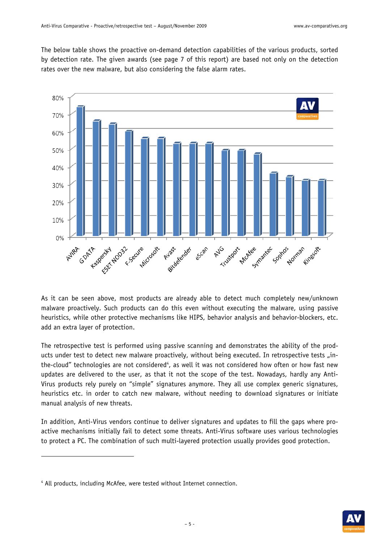The below table shows the proactive on-demand detection capabilities of the various products, sorted by detection rate. The given awards (see page 7 of this report) are based not only on the detection rates over the new malware, but also considering the false alarm rates.



As it can be seen above, most products are already able to detect much completely new/unknown malware proactively. Such products can do this even without executing the malware, using passive heuristics, while other protective mechanisms like HIPS, behavior analysis and behavior-blockers, etc. add an extra layer of protection.

The retrospective test is performed using passive scanning and demonstrates the ability of the products under test to detect new malware proactively, without being executed. In retrospective tests "inthe-cloud" technologies are not considered<sup>4</sup>, as well it was not considered how often or how fast new updates are delivered to the user, as that it not the scope of the test. Nowadays, hardly any Anti-Virus products rely purely on "simple" signatures anymore. They all use complex generic signatures, heuristics etc. in order to catch new malware, without needing to download signatures or initiate manual analysis of new threats.

In addition, Anti-Virus vendors continue to deliver signatures and updates to fill the gaps where proactive mechanisms initially fail to detect some threats. Anti-Virus software uses various technologies to protect a PC. The combination of such multi-layered protection usually provides good protection.

-



<sup>4</sup> All products, including McAfee, were tested without Internet connection.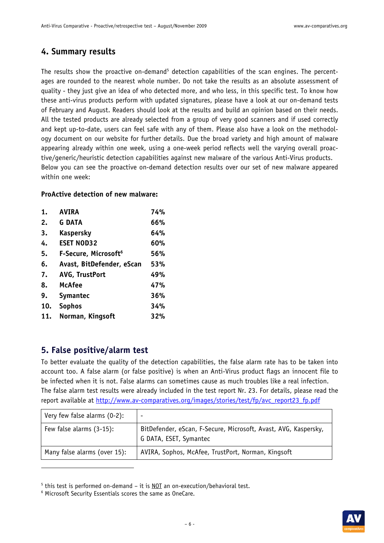## **4. Summary results**

The results show the proactive on-demand<sup>5</sup> detection capabilities of the scan engines. The percentages are rounded to the nearest whole number. Do not take the results as an absolute assessment of quality - they just give an idea of who detected more, and who less, in this specific test. To know how these anti-virus products perform with updated signatures, please have a look at our on-demand tests of February and August. Readers should look at the results and build an opinion based on their needs. All the tested products are already selected from a group of very good scanners and if used correctly and kept up-to-date, users can feel safe with any of them. Please also have a look on the methodology document on our website for further details. Due the broad variety and high amount of malware appearing already within one week, using a one-week period reflects well the varying overall proactive/generic/heuristic detection capabilities against new malware of the various Anti-Virus products. Below you can see the proactive on-demand detection results over our set of new malware appeared within one week:

#### **ProActive detection of new malware:**

| 1.  | <b>AVIRA</b>                     | 74% |
|-----|----------------------------------|-----|
| 2.  | <b>G DATA</b>                    | 66% |
| 3.  | <b>Kaspersky</b>                 | 64% |
| 4.  | <b>ESET NOD32</b>                | 60% |
| 5.  | F-Secure, Microsoft <sup>6</sup> | 56% |
| 6.  | Avast, BitDefender, eScan        | 53% |
| 7.  | <b>AVG, TrustPort</b>            | 49% |
| 8.  | <b>McAfee</b>                    | 47% |
| 9.  | <b>Symantec</b>                  | 36% |
| 10. | <b>Sophos</b>                    | 34% |
| 11. | Norman, Kingsoft                 | 32% |

### **5. False positive/alarm test**

-

To better evaluate the quality of the detection capabilities, the false alarm rate has to be taken into account too. A false alarm (or false positive) is when an Anti-Virus product flags an innocent file to be infected when it is not. False alarms can sometimes cause as much troubles like a real infection. The false alarm test results were already included in the test report Nr. 23. For details, please read the report available at http://www.av-comparatives.org/images/stories/test/fp/avc\_report23\_fp.pdf

| Very few false alarms (0-2): |                                                                                           |
|------------------------------|-------------------------------------------------------------------------------------------|
| Few false alarms $(3-15)$ :  | BitDefender, eScan, F-Secure, Microsoft, Avast, AVG, Kaspersky,<br>G DATA, ESET, Symantec |
| Many false alarms (over 15): | AVIRA, Sophos, McAfee, TrustPort, Norman, Kingsoft                                        |

<sup>&</sup>lt;sup>5</sup> this test is performed on-demand – it is <u>NOT</u> an on-execution/behavioral test.<br>6 Microsoft Security Essentials scores the same as OneCare



Microsoft Security Essentials scores the same as OneCare.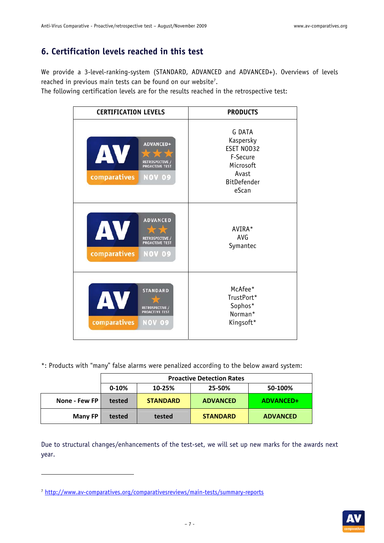## **6. Certification levels reached in this test**

We provide a 3-level-ranking-system (STANDARD, ADVANCED and ADVANCED+). Overviews of levels reached in previous main tests can be found on our website<sup>7</sup>.

The following certification levels are for the results reached in the retrospective test:

| <b>CERTIFICATION LEVELS</b>                                                                       | <b>PRODUCTS</b>                                                                                           |  |  |  |  |
|---------------------------------------------------------------------------------------------------|-----------------------------------------------------------------------------------------------------------|--|--|--|--|
| <b>ADVANCED+</b><br>AV<br>RETROSPECTIVE<br><b>PROACTIVE TEST</b><br>comparatives<br><b>NOV 09</b> | <b>G DATA</b><br>Kaspersky<br>ESET NOD32<br>F-Secure<br>Microsoft<br>Avast<br><b>BitDefender</b><br>eScan |  |  |  |  |
| <b>ADVANCED</b><br>AV<br>RETROSPECTIVE /<br>PROACTIVE TEST<br>comparatives<br><b>NOV 09</b>       | AVIRA*<br>AVG<br>Symantec                                                                                 |  |  |  |  |
| <b>STANDARD</b><br>AV<br>RETROSPECTIVE /<br>PROACTIVE TEST<br>comparatives<br><b>NOV 09</b>       | McAfee*<br>TrustPort*<br>Sophos*<br>Norman*<br>Kingsoft*                                                  |  |  |  |  |

\*: Products with "many" false alarms were penalized according to the below award system:

|                | <b>Proactive Detection Rates</b> |                             |                 |                 |  |  |  |  |  |
|----------------|----------------------------------|-----------------------------|-----------------|-----------------|--|--|--|--|--|
|                | $0-10%$                          | 10-25%<br>25-50%<br>50-100% |                 |                 |  |  |  |  |  |
| None - Few FP  | tested                           | <b>STANDARD</b>             | <b>ADVANCED</b> | ADVANCED+       |  |  |  |  |  |
| <b>Many FP</b> | tested                           | tested                      | <b>STANDARD</b> | <b>ADVANCED</b> |  |  |  |  |  |

Due to structural changes/enhancements of the test-set, we will set up new marks for the awards next year.

-



<sup>7</sup> http://www.av-comparatives.org/comparativesreviews/main-tests/summary-reports